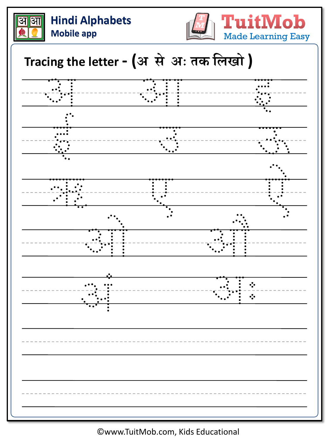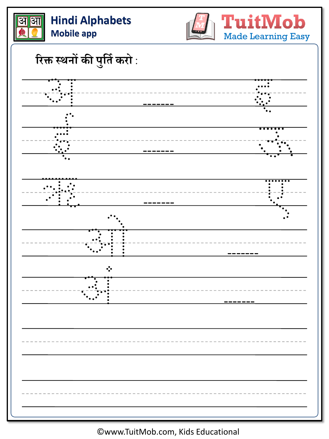



**रिक्त स्थनों की प ु लतिकिो** :

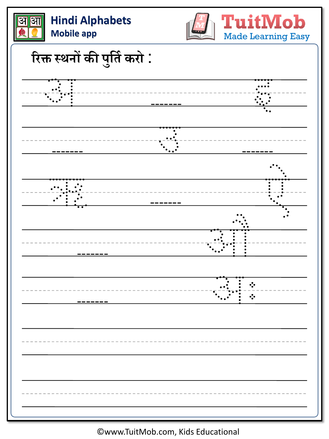

©www.TuitMob.com, Kids Educational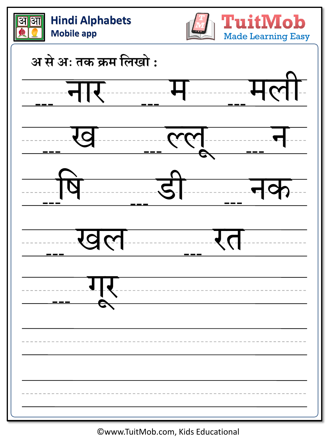| <b>Hindi Alphabets</b><br>आ<br><b>Mobile app</b> | <b>TuitMob</b><br><b>Made Learning Easy</b> |
|--------------------------------------------------|---------------------------------------------|
| अ से अ: तक क्रम लिखो:                            |                                             |
|                                                  | ला                                          |
|                                                  |                                             |
|                                                  |                                             |
|                                                  |                                             |
|                                                  |                                             |
|                                                  |                                             |
|                                                  |                                             |
|                                                  |                                             |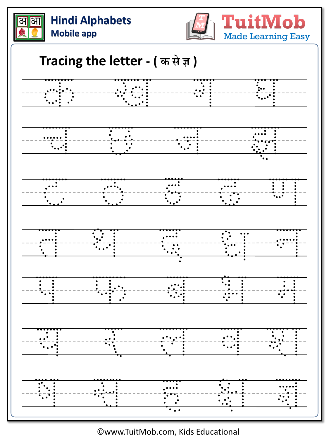



TuitMob **Made Learning Easy** 

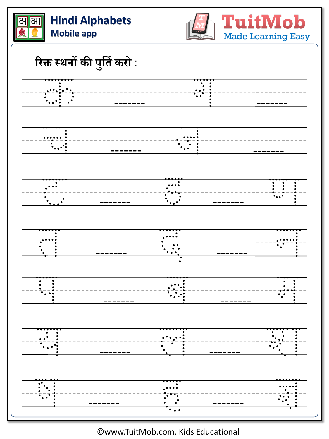



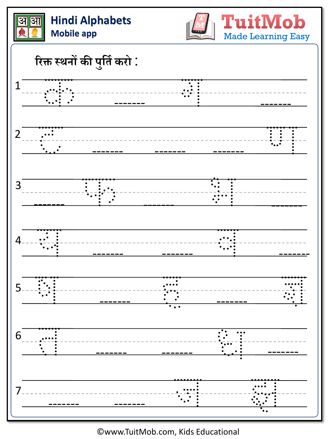